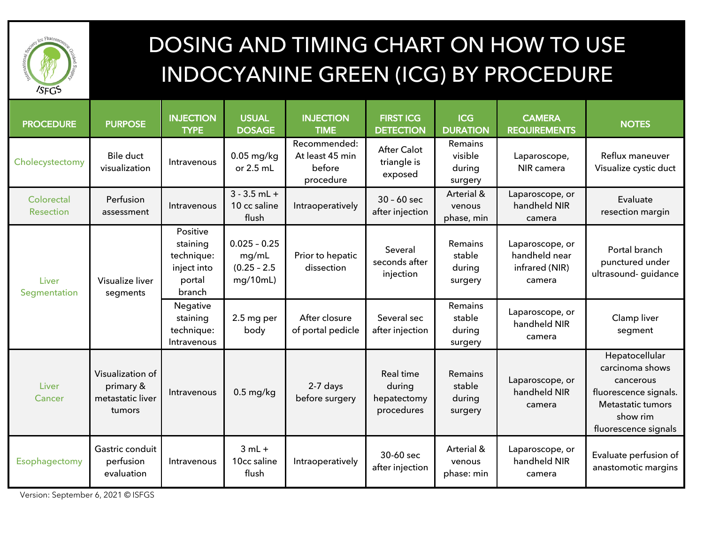

## DOSING AND TIMING CHART ON HOW TO USE INDOCYANINE GREEN (ICG) BY PROCEDURE

| <b>PROCEDURE</b>        | <b>PURPOSE</b>                                              | <b>INJECTION</b><br><b>TYPE</b>                                       | <b>USUAL</b><br><b>DOSAGE</b>                         | <b>INJECTION</b><br><b>TIME</b>                        | <b>FIRST ICG</b><br><b>DETECTION</b>             | <b>ICG</b><br><b>DURATION</b>                 | <b>CAMERA</b><br><b>REQUIREMENTS</b>                         | <b>NOTES</b>                                                                                                                     |
|-------------------------|-------------------------------------------------------------|-----------------------------------------------------------------------|-------------------------------------------------------|--------------------------------------------------------|--------------------------------------------------|-----------------------------------------------|--------------------------------------------------------------|----------------------------------------------------------------------------------------------------------------------------------|
| Cholecystectomy         | <b>Bile duct</b><br>visualization                           | Intravenous                                                           | $0.05$ mg/kg<br>or $2.5$ mL                           | Recommended:<br>At least 45 min<br>before<br>procedure | <b>After Calot</b><br>triangle is<br>exposed     | Remains<br>visible<br>during<br>surgery       | Laparoscope,<br>NIR camera                                   | Reflux maneuver<br>Visualize cystic duct                                                                                         |
| Colorectal<br>Resection | Perfusion<br>assessment                                     | Intravenous                                                           | $3 - 3.5$ mL +<br>10 cc saline<br>flush               | Intraoperatively                                       | $30 - 60$ sec<br>after injection                 | Arterial &<br>venous<br>phase, min            | Laparoscope, or<br>handheld NIR<br>camera                    | Evaluate<br>resection margin                                                                                                     |
| Liver<br>Segmentation   | Visualize liver<br>segments                                 | Positive<br>staining<br>technique:<br>inject into<br>portal<br>branch | $0.025 - 0.25$<br>mg/mL<br>$(0.25 - 2.5)$<br>mg/10mL) | Prior to hepatic<br>dissection                         | Several<br>seconds after<br>injection            | Remains<br>stable<br>during<br>surgery        | Laparoscope, or<br>handheld near<br>infrared (NIR)<br>camera | Portal branch<br>punctured under<br>ultrasound- guidance                                                                         |
|                         |                                                             | Negative<br>staining<br>technique:<br>Intravenous                     | 2.5 mg per<br>body                                    | After closure<br>of portal pedicle                     | Several sec<br>after injection                   | Remains<br>stable<br>during<br>surgery        | Laparoscope, or<br>handheld NIR<br>camera                    | Clamp liver<br>segment                                                                                                           |
| Liver<br>Cancer         | Visualization of<br>primary &<br>metastatic liver<br>tumors | Intravenous                                                           | $0.5$ mg/kg                                           | 2-7 days<br>before surgery                             | Real time<br>during<br>hepatectomy<br>procedures | <b>Remains</b><br>stable<br>during<br>surgery | Laparoscope, or<br>handheld NIR<br>camera                    | Hepatocellular<br>carcinoma shows<br>cancerous<br>fluorescence signals.<br>Metastatic tumors<br>show rim<br>fluorescence signals |
| Esophagectomy           | Gastric conduit<br>perfusion<br>evaluation                  | Intravenous                                                           | $3 mL +$<br>10cc saline<br>flush                      | Intraoperatively                                       | 30-60 sec<br>after injection                     | Arterial &<br>venous<br>phase: min            | Laparoscope, or<br>handheld NIR<br>camera                    | Evaluate perfusion of<br>anastomotic margins                                                                                     |

Version: September 6, 2021 © ISFGS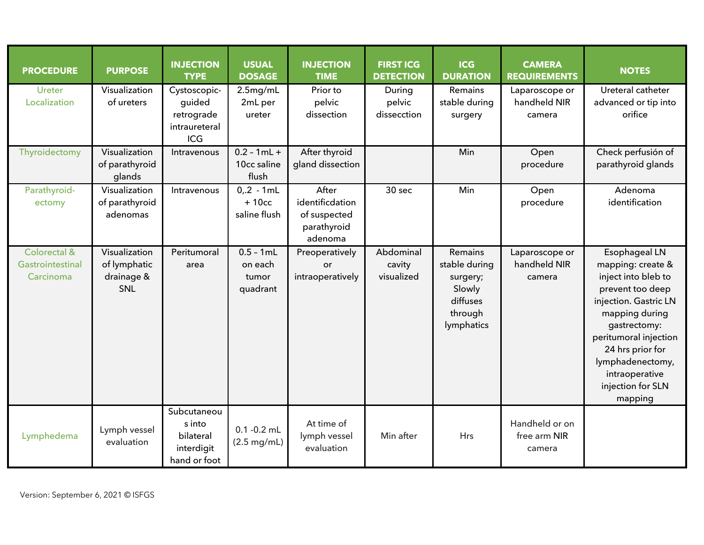| <b>PROCEDURE</b>                              | <b>PURPOSE</b>                                            | <b>INJECTION</b><br><b>TYPE</b>                                  | <b>USUAL</b><br><b>DOSAGE</b>               | <b>INJECTION</b><br><b>TIME</b>                                    | <b>FIRST ICG</b><br><b>DETECTION</b> | <b>ICG</b><br><b>DURATION</b>                                                       | <b>CAMERA</b><br><b>REQUIREMENTS</b>     | <b>NOTES</b>                                                                                                                                                                                                                                                |
|-----------------------------------------------|-----------------------------------------------------------|------------------------------------------------------------------|---------------------------------------------|--------------------------------------------------------------------|--------------------------------------|-------------------------------------------------------------------------------------|------------------------------------------|-------------------------------------------------------------------------------------------------------------------------------------------------------------------------------------------------------------------------------------------------------------|
| Ureter<br>Localization                        | Visualization<br>of ureters                               | Cystoscopic-<br>guided<br>retrograde<br>intraureteral<br>ICG     | 2.5mg/mL<br>2mL per<br>ureter               | Prior to<br>pelvic<br>dissection                                   | During<br>pelvic<br>dissecction      | Remains<br>stable during<br>surgery                                                 | Laparoscope or<br>handheld NIR<br>camera | Ureteral catheter<br>advanced or tip into<br>orifice                                                                                                                                                                                                        |
| Thyroidectomy                                 | Visualization<br>of parathyroid<br>glands                 | Intravenous                                                      | $0.2 - 1mL +$<br>10cc saline<br>flush       | After thyroid<br>gland dissection                                  |                                      | Min                                                                                 | Open<br>procedure                        | Check perfusión of<br>parathyroid glands                                                                                                                                                                                                                    |
| Parathyroid-<br>ectomy                        | Visualization<br>of parathyroid<br>adenomas               | Intravenous                                                      | $0, 2 - 1mL$<br>$+10cc$<br>saline flush     | After<br>identificdation<br>of suspected<br>parathyroid<br>adenoma | 30 sec                               | Min                                                                                 | Open<br>procedure                        | Adenoma<br>identification                                                                                                                                                                                                                                   |
| Colorectal &<br>Gastrointestinal<br>Carcinoma | Visualization<br>of lymphatic<br>drainage &<br><b>SNL</b> | Peritumoral<br>area                                              | $0.5 - 1mL$<br>on each<br>tumor<br>quadrant | Preoperatively<br>or<br>intraoperatively                           | Abdominal<br>cavity<br>visualized    | Remains<br>stable during<br>surgery;<br>Slowly<br>diffuses<br>through<br>lymphatics | Laparoscope or<br>handheld NIR<br>camera | Esophageal LN<br>mapping: create &<br>inject into bleb to<br>prevent too deep<br>injection. Gastric LN<br>mapping during<br>gastrectomy:<br>peritumoral injection<br>24 hrs prior for<br>lymphadenectomy,<br>intraoperative<br>injection for SLN<br>mapping |
| Lymphedema                                    | Lymph vessel<br>evaluation                                | Subcutaneou<br>s into<br>bilateral<br>interdigit<br>hand or foot | $0.1 - 0.2$ mL<br>$(2.5 \text{ mg/mL})$     | At time of<br>lymph vessel<br>evaluation                           | Min after                            | <b>Hrs</b>                                                                          | Handheld or on<br>free arm NIR<br>camera |                                                                                                                                                                                                                                                             |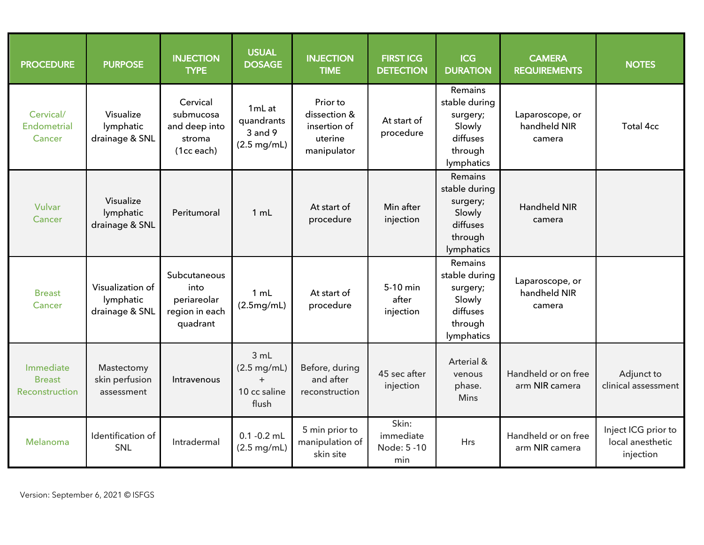| <b>PROCEDURE</b>                             | <b>PURPOSE</b>                                  | <b>INJECTION</b><br><b>TYPE</b>                                   | <b>USUAL</b><br><b>DOSAGE</b>                                 | <b>INJECTION</b><br><b>TIME</b>                                    | <b>FIRST ICG</b><br><b>DETECTION</b>     | <b>ICG</b><br><b>DURATION</b>                                                       | <b>CAMERA</b><br><b>REQUIREMENTS</b>      | <b>NOTES</b>                                         |
|----------------------------------------------|-------------------------------------------------|-------------------------------------------------------------------|---------------------------------------------------------------|--------------------------------------------------------------------|------------------------------------------|-------------------------------------------------------------------------------------|-------------------------------------------|------------------------------------------------------|
| Cervical/<br><b>Endometrial</b><br>Cancer    | Visualize<br>lymphatic<br>drainage & SNL        | Cervical<br>submucosa<br>and deep into<br>stroma<br>(1cc each)    | 1mL at<br>quandrants<br>3 and 9<br>$(2.5 \text{ mg/mL})$      | Prior to<br>dissection &<br>insertion of<br>uterine<br>manipulator | At start of<br>procedure                 | Remains<br>stable during<br>surgery;<br>Slowly<br>diffuses<br>through<br>lymphatics | Laparoscope, or<br>handheld NIR<br>camera | <b>Total 4cc</b>                                     |
| Vulvar<br>Cancer                             | Visualize<br>lymphatic<br>drainage & SNL        | Peritumoral                                                       | 1 mL                                                          | At start of<br>procedure                                           | Min after<br>injection                   | Remains<br>stable during<br>surgery;<br>Slowly<br>diffuses<br>through<br>lymphatics | <b>Handheld NIR</b><br>camera             |                                                      |
| <b>Breast</b><br>Cancer                      | Visualization of<br>lymphatic<br>drainage & SNL | Subcutaneous<br>into<br>periareolar<br>region in each<br>quadrant | 1 mL<br>(2.5mg/mL)                                            | At start of<br>procedure                                           | 5-10 min<br>after<br>injection           | Remains<br>stable during<br>surgery;<br>Slowly<br>diffuses<br>through<br>lymphatics | Laparoscope, or<br>handheld NIR<br>camera |                                                      |
| Immediate<br><b>Breast</b><br>Reconstruction | Mastectomy<br>skin perfusion<br>assessment      | Intravenous                                                       | 3 mL<br>$(2.5 \text{ mg/mL})$<br>$+$<br>10 cc saline<br>flush | Before, during<br>and after<br>reconstruction                      | 45 sec after<br>injection                | Arterial &<br>venous<br>phase.<br><b>Mins</b>                                       | Handheld or on free<br>arm NIR camera     | Adjunct to<br>clinical assessment                    |
| Melanoma                                     | Identification of<br>SNL                        | Intradermal                                                       | $0.1 - 0.2$ mL<br>$(2.5 \text{ mg/mL})$                       | 5 min prior to<br>manipulation of<br>skin site                     | Skin:<br>immediate<br>Node: 5 -10<br>min | Hrs                                                                                 | Handheld or on free<br>arm NIR camera     | Inject ICG prior to<br>local anesthetic<br>injection |